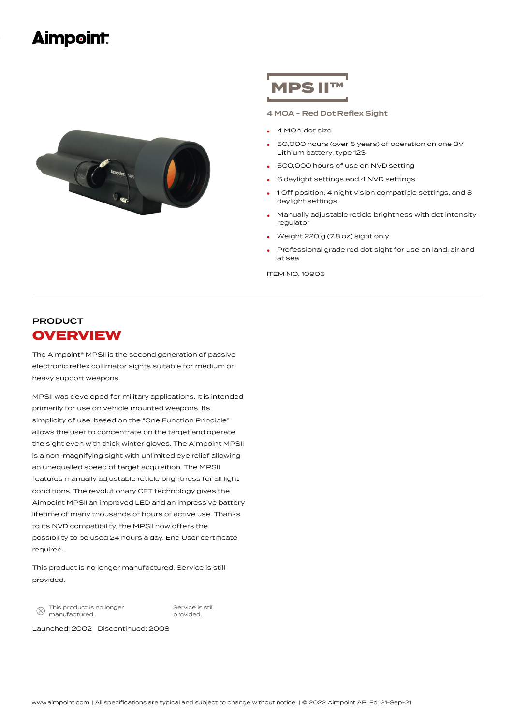# **Aimpoint:**



# **MPS II**

4 MOA - Red Dot Reflex Sight

- 4 MOA dot size
- 50,000 hours (over 5 years) of operation on one 3V Lithium battery, type 123 •
- 500,000 hours of use on NVD setting
- <sup>6</sup> daylight settings and <sup>4</sup> NVD settings
- 1 Off position, 4 night vision compatible settings, and 8 daylight settings •
- Manually adjustable reticle brightness with dot intensity regulator •
- Weight <sup>220</sup> <sup>g</sup> (7.8 oz) sight only
- Professional grade red dot sight for use on land, air and at sea •

ITEM NO. 10905

## PRODUCT **OVERVIEW**

The Aimpoint® MPSII is the second generation of passive electronic reflex collimator sights suitable for medium or heavy support weapons.

MPSII was developed for military applications. It is intended primarily for use on vehicle mounted weapons. Its simplicity of use, based on the "One Function Principle" allows the user to concentrate on the target and operate the sight even with thick winter gloves. The Aimpoint MPSII is a non-magnifying sight with unlimited eye relief allowing an unequalled speed of target acquisition. The MPSII features manually adjustable reticle brightness for all light conditions. The revolutionary CET technology gives the Aimpoint MPSII an improved LED and an impressive battery lifetime of many thousands of hours of active use. Thanks to its NVD compatibility, the MPSII now offers the possibility to be used 24 hours a day. End User certificate required.

This product is no longer manufactured. Service is still provided.

This product is no longer  $\otimes$ manufactured.

Service is still provided.

Launched: 2002 Discontinued: 2008